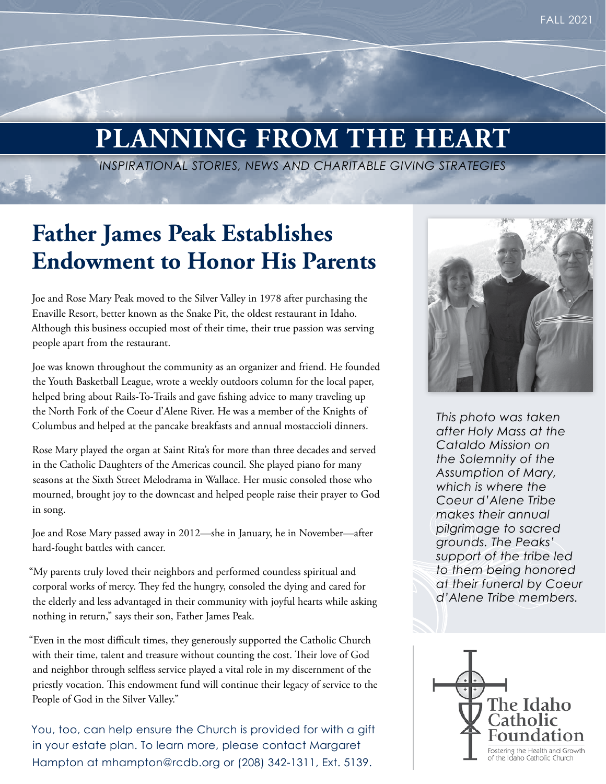### **PLANNING FROM THE HEART**

*INSPIRATIONAL STORIES, NEWS AND CHARITABLE GIVING STRATEGIES*

#### **Father James Peak Establishes Endowment to Honor His Parents**

Joe and Rose Mary Peak moved to the Silver Valley in 1978 after purchasing the Enaville Resort, better known as the Snake Pit, the oldest restaurant in Idaho. Although this business occupied most of their time, their true passion was serving people apart from the restaurant.

Joe was known throughout the community as an organizer and friend. He founded the Youth Basketball League, wrote a weekly outdoors column for the local paper, helped bring about Rails-To-Trails and gave fishing advice to many traveling up the North Fork of the Coeur d'Alene River. He was a member of the Knights of Columbus and helped at the pancake breakfasts and annual mostaccioli dinners.

Rose Mary played the organ at Saint Rita's for more than three decades and served in the Catholic Daughters of the Americas council. She played piano for many seasons at the Sixth Street Melodrama in Wallace. Her music consoled those who mourned, brought joy to the downcast and helped people raise their prayer to God in song.

Joe and Rose Mary passed away in 2012—she in January, he in November—after hard-fought battles with cancer.

"My parents truly loved their neighbors and performed countless spiritual and corporal works of mercy. They fed the hungry, consoled the dying and cared for the elderly and less advantaged in their community with joyful hearts while asking nothing in return," says their son, Father James Peak.

"Even in the most difficult times, they generously supported the Catholic Church with their time, talent and treasure without counting the cost. Their love of God and neighbor through selfless service played a vital role in my discernment of the priestly vocation. This endowment fund will continue their legacy of service to the People of God in the Silver Valley."

You, too, can help ensure the Church is provided for with a gift in your estate plan. To learn more, please contact Margaret Hampton at mhampton@rcdb.org or (208) 342-1311, Ext. 5139.



*This photo was taken after Holy Mass at the Cataldo Mission on the Solemnity of the Assumption of Mary, which is where the Coeur d'Alene Tribe makes their annual pilgrimage to sacred grounds. The Peaks' support of the tribe led to them being honored at their funeral by Coeur d'Alene Tribe members.*